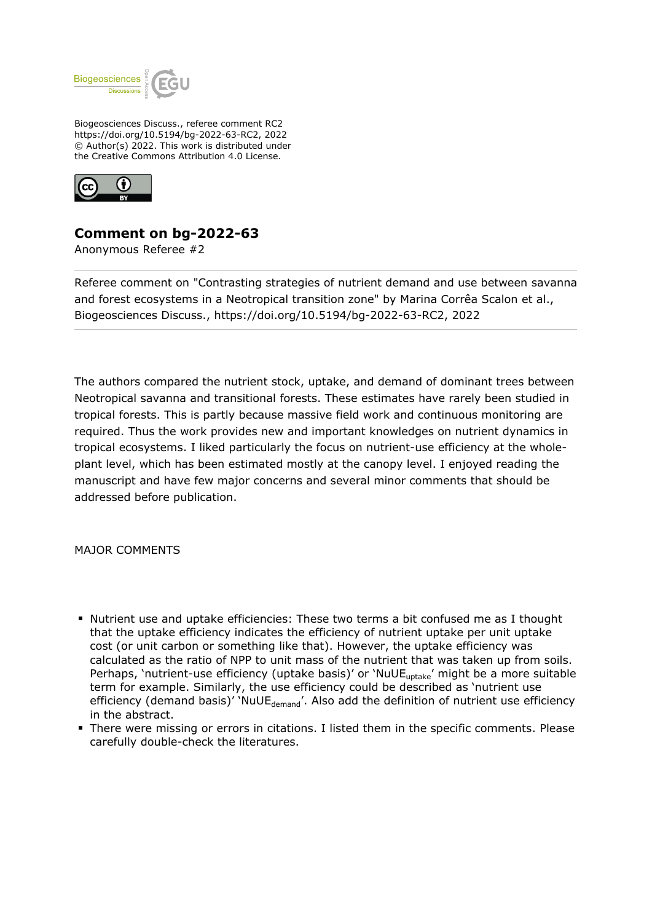

Biogeosciences Discuss., referee comment RC2 https://doi.org/10.5194/bg-2022-63-RC2, 2022 © Author(s) 2022. This work is distributed under the Creative Commons Attribution 4.0 License.



## **Comment on bg-2022-63**

Anonymous Referee #2

Referee comment on "Contrasting strategies of nutrient demand and use between savanna and forest ecosystems in a Neotropical transition zone" by Marina Corrêa Scalon et al., Biogeosciences Discuss., https://doi.org/10.5194/bg-2022-63-RC2, 2022

The authors compared the nutrient stock, uptake, and demand of dominant trees between Neotropical savanna and transitional forests. These estimates have rarely been studied in tropical forests. This is partly because massive field work and continuous monitoring are required. Thus the work provides new and important knowledges on nutrient dynamics in tropical ecosystems. I liked particularly the focus on nutrient-use efficiency at the wholeplant level, which has been estimated mostly at the canopy level. I enjoyed reading the manuscript and have few major concerns and several minor comments that should be addressed before publication.

MAJOR COMMENTS

- Nutrient use and uptake efficiencies: These two terms a bit confused me as I thought that the uptake efficiency indicates the efficiency of nutrient uptake per unit uptake cost (or unit carbon or something like that). However, the uptake efficiency was calculated as the ratio of NPP to unit mass of the nutrient that was taken up from soils. Perhaps, 'nutrient-use efficiency (uptake basis)' or 'NuUE<sub>uptake</sub>' might be a more suitable term for example. Similarly, the use efficiency could be described as 'nutrient use efficiency (demand basis)' 'NuUE $_{\text{demand}}$ '. Also add the definition of nutrient use efficiency in the abstract.
- **There were missing or errors in citations. I listed them in the specific comments. Please** carefully double-check the literatures.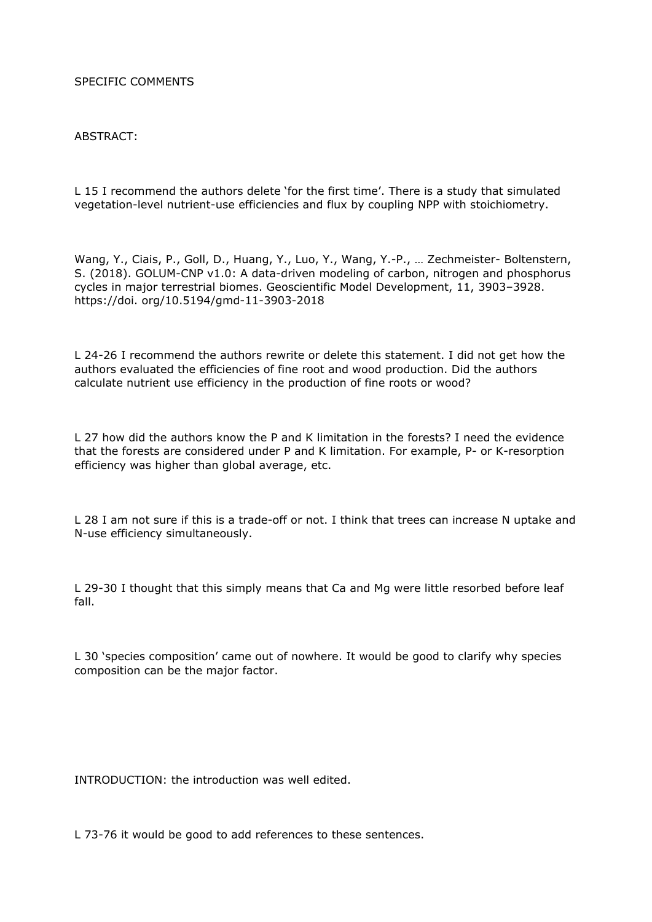## SPECIFIC COMMENTS

## ABSTRACT:

L 15 I recommend the authors delete 'for the first time'. There is a study that simulated vegetation-level nutrient-use efficiencies and flux by coupling NPP with stoichiometry.

Wang, Y., Ciais, P., Goll, D., Huang, Y., Luo, Y., Wang, Y.-P., … Zechmeister- Boltenstern, S. (2018). GOLUM-CNP v1.0: A data-driven modeling of carbon, nitrogen and phosphorus cycles in major terrestrial biomes. Geoscientific Model Development, 11, 3903–3928. https://doi. org/10.5194/gmd-11-3903-2018

L 24-26 I recommend the authors rewrite or delete this statement. I did not get how the authors evaluated the efficiencies of fine root and wood production. Did the authors calculate nutrient use efficiency in the production of fine roots or wood?

L 27 how did the authors know the P and K limitation in the forests? I need the evidence that the forests are considered under P and K limitation. For example, P- or K-resorption efficiency was higher than global average, etc.

L 28 I am not sure if this is a trade-off or not. I think that trees can increase N uptake and N-use efficiency simultaneously.

L 29-30 I thought that this simply means that Ca and Mg were little resorbed before leaf fall.

L 30 'species composition' came out of nowhere. It would be good to clarify why species composition can be the major factor.

INTRODUCTION: the introduction was well edited.

L 73-76 it would be good to add references to these sentences.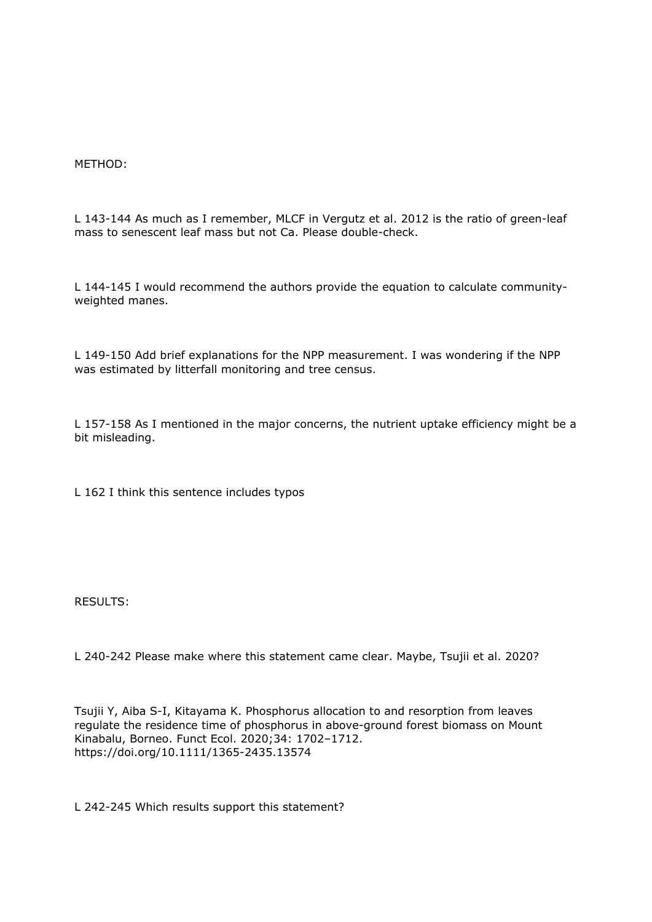METHOD:

L 143-144 As much as I remember, MLCF in Vergutz et al. 2012 is the ratio of green-leaf mass to senescent leaf mass but not Ca. Please double-check.

L 144-145 I would recommend the authors provide the equation to calculate communityweighted manes.

L 149-150 Add brief explanations for the NPP measurement. I was wondering if the NPP was estimated by litterfall monitoring and tree census.

L 157-158 As I mentioned in the major concerns, the nutrient uptake efficiency might be a bit misleading.

L 162 I think this sentence includes typos

RESULTS:

L 240-242 Please make where this statement came clear. Maybe, Tsujii et al. 2020?

Tsujii Y, Aiba S-I, Kitayama K. Phosphorus allocation to and resorption from leaves regulate the residence time of phosphorus in above-ground forest biomass on Mount Kinabalu, Borneo. Funct Ecol. 2020;34: 1702–1712. https://doi.org/10.1111/1365-2435.13574

L 242-245 Which results support this statement?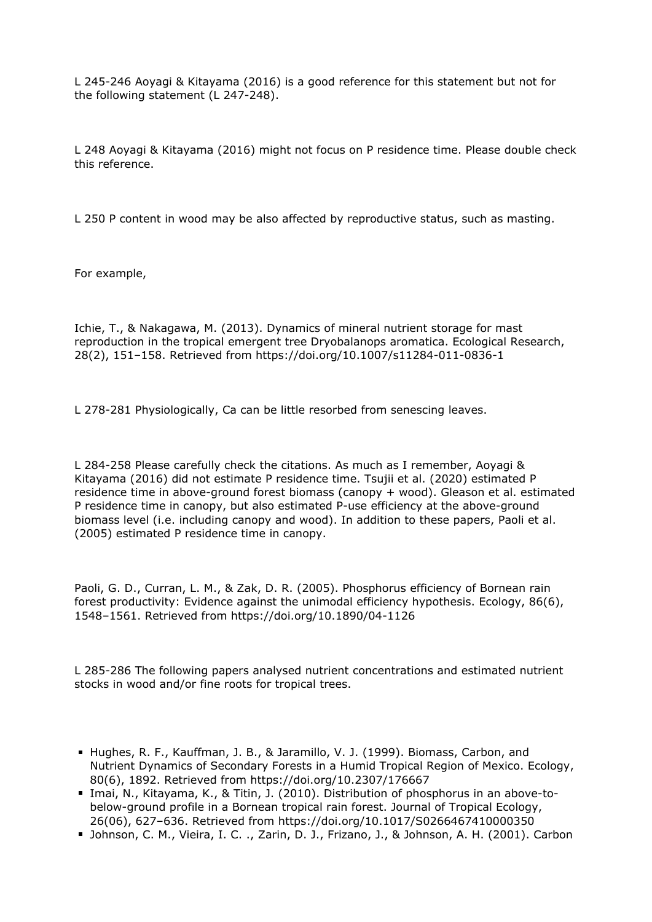L 245-246 Aoyagi & Kitayama (2016) is a good reference for this statement but not for the following statement (L 247-248).

L 248 Aoyagi & Kitayama (2016) might not focus on P residence time. Please double check this reference.

L 250 P content in wood may be also affected by reproductive status, such as masting.

For example,

Ichie, T., & Nakagawa, M. (2013). Dynamics of mineral nutrient storage for mast reproduction in the tropical emergent tree Dryobalanops aromatica. Ecological Research, 28(2), 151–158. Retrieved from https://doi.org/10.1007/s11284-011-0836-1

L 278-281 Physiologically, Ca can be little resorbed from senescing leaves.

L 284-258 Please carefully check the citations. As much as I remember, Aoyagi & Kitayama (2016) did not estimate P residence time. Tsujii et al. (2020) estimated P residence time in above-ground forest biomass (canopy + wood). Gleason et al. estimated P residence time in canopy, but also estimated P-use efficiency at the above-ground biomass level (i.e. including canopy and wood). In addition to these papers, Paoli et al. (2005) estimated P residence time in canopy.

Paoli, G. D., Curran, L. M., & Zak, D. R. (2005). Phosphorus efficiency of Bornean rain forest productivity: Evidence against the unimodal efficiency hypothesis. Ecology, 86(6), 1548–1561. Retrieved from https://doi.org/10.1890/04-1126

L 285-286 The following papers analysed nutrient concentrations and estimated nutrient stocks in wood and/or fine roots for tropical trees.

- Hughes, R. F., Kauffman, J. B., & Jaramillo, V. J. (1999). Biomass, Carbon, and Nutrient Dynamics of Secondary Forests in a Humid Tropical Region of Mexico. Ecology, 80(6), 1892. Retrieved from https://doi.org/10.2307/176667
- Imai, N., Kitayama, K., & Titin, J. (2010). Distribution of phosphorus in an above-tobelow-ground profile in a Bornean tropical rain forest. Journal of Tropical Ecology, 26(06), 627–636. Retrieved from https://doi.org/10.1017/S0266467410000350
- Johnson, C. M., Vieira, I. C. ., Zarin, D. J., Frizano, J., & Johnson, A. H. (2001). Carbon